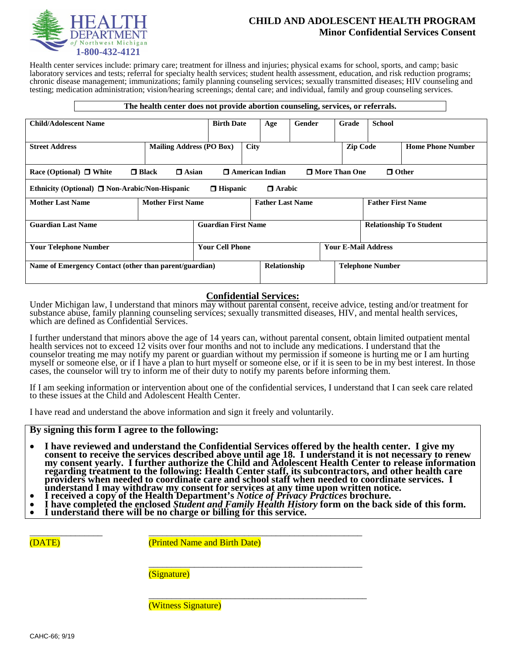

# **CHILD AND ADOLESCENT HEALTH PROGRAM Minor Confidential Services Consent**

Health center services include: primary care; treatment for illness and injuries; physical exams for school, sports, and camp; basic laboratory services and tests; referral for specialty health services; student health assessment, education, and risk reduction programs; chronic disease management; immunizations; family planning counseling services; sexually transmitted diseases; HIV counseling and testing; medication administration; vision/hearing screenings; dental care; and individual, family and group counseling services.

| The health center does not provide abortion counseling, services, or referrals.                                           |                            |                          |     |             |                            |                                         |                 |  |                          |                          |  |
|---------------------------------------------------------------------------------------------------------------------------|----------------------------|--------------------------|-----|-------------|----------------------------|-----------------------------------------|-----------------|--|--------------------------|--------------------------|--|
| <b>Child/Adolescent Name</b>                                                                                              | <b>Birth Date</b>          |                          | Age | Gender      | Grade                      |                                         | <b>School</b>   |  |                          |                          |  |
| <b>Street Address</b><br><b>Mailing Address (PO Box)</b>                                                                  |                            |                          |     | <b>City</b> |                            |                                         | <b>Zip Code</b> |  |                          | <b>Home Phone Number</b> |  |
| $\Box$ Black<br>$\Box$ Other<br>$\Box$ Asian<br>$\Box$ American Indian<br>□ More Than One<br>Race (Optional) $\Box$ White |                            |                          |     |             |                            |                                         |                 |  |                          |                          |  |
| $\Box$ Hispanic<br>$\Box$ Arabic<br>Ethnicity (Optional) $\Box$ Non-Arabic/Non-Hispanic                                   |                            |                          |     |             |                            |                                         |                 |  |                          |                          |  |
| <b>Mother Last Name</b>                                                                                                   |                            | <b>Mother First Name</b> |     |             | <b>Father Last Name</b>    |                                         |                 |  | <b>Father First Name</b> |                          |  |
| <b>Guardian Last Name</b>                                                                                                 | <b>Guardian First Name</b> |                          |     |             |                            | <b>Relationship To Student</b>          |                 |  |                          |                          |  |
| <b>Your Telephone Number</b>                                                                                              |                            | <b>Your Cell Phone</b>   |     |             | <b>Your E-Mail Address</b> |                                         |                 |  |                          |                          |  |
| Name of Emergency Contact (other than parent/guardian)                                                                    |                            |                          |     |             |                            | Relationship<br><b>Telephone Number</b> |                 |  |                          |                          |  |

## **Confidential Services:**

Under Michigan law, I understand that minors may without parental consent, receive advice, testing and/or treatment for substance abuse, family planning counseling services; sexually transmitted diseases, HIV, and mental health services, which are defined as Confidential Services.

I further understand that minors above the age of 14 years can, without parental consent, obtain limited outpatient mental health services not to exceed 12 visits over four months and not to include any medications. I understand that the counselor treating me may notify my parent or guardian without my permission if someone is hurting me or I am hurting myself or someone else, or if I have a plan to hurt myself or someone else, or if it is seen to be in my best interest. In those cases, the counselor will try to inform me of their duty to notify my parents before informing them.

If I am seeking information or intervention about one of the confidential services, I understand that I can seek care related to these issues at the Child and Adolescent Health Center.

I have read and understand the above information and sign it freely and voluntarily.

- **By signing this form I agree to the following: I have reviewed and understand the Confidential Services offered by the health center. I give my consent to receive the services described above until age 18. I understand it is not necessary to renew my consent yearly. I further authorize the Child and Adolescent Health Center to release information regarding treatment to the following: Health Center staff, its subcontractors, and other health care providers when needed to coordinate care and school staff when needed to coordinate services. I**
- 
- inderstand I may withdraw my consent for services at any time upon written notice.<br>• I received a copy of the Health Department's *Notice of Privacy Practices* brochure.<br>• I have completed the enclosed *Student and Family*

\_\_\_\_\_\_\_\_\_\_\_\_\_\_\_\_\_\_\_\_\_\_\_\_\_\_\_\_\_\_\_\_\_\_\_\_\_\_\_\_\_\_\_\_\_\_\_

\_\_\_\_\_\_\_\_\_\_\_\_\_\_\_\_\_\_\_\_\_\_\_\_\_\_\_\_\_\_\_\_\_\_\_\_\_\_\_\_\_\_\_\_\_\_\_\_

(DATE) (Printed Name and Birth Date)

\_\_\_\_\_\_\_\_\_\_\_\_\_\_\_\_ \_\_\_\_\_\_\_\_\_\_\_\_\_\_\_\_\_\_\_\_\_\_\_\_\_\_\_\_\_\_\_\_\_\_\_\_\_\_\_\_\_\_\_\_\_\_\_

(Signature)

(Witness Signature)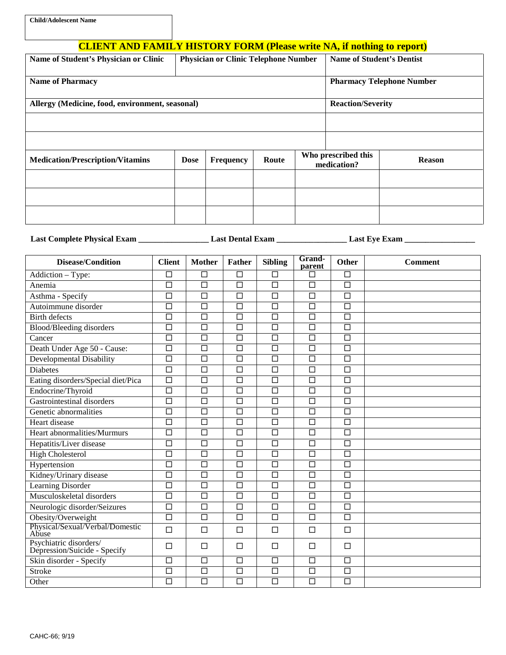# **CLIENT AND FAMILY HISTORY FORM (Please write NA, if nothing to report)**

| Name of Student's Physician or Clinic           | <b>Physician or Clinic Telephone Number</b> |                  |       |                                    | <b>Name of Student's Dentist</b> |               |  |  |
|-------------------------------------------------|---------------------------------------------|------------------|-------|------------------------------------|----------------------------------|---------------|--|--|
| <b>Name of Pharmacy</b>                         | <b>Pharmacy Telephone Number</b>            |                  |       |                                    |                                  |               |  |  |
| Allergy (Medicine, food, environment, seasonal) | <b>Reaction/Severity</b>                    |                  |       |                                    |                                  |               |  |  |
|                                                 |                                             |                  |       |                                    |                                  |               |  |  |
|                                                 |                                             |                  |       |                                    |                                  |               |  |  |
| <b>Medication/Prescription/Vitamins</b>         | <b>Dose</b>                                 | <b>Frequency</b> | Route | Who prescribed this<br>medication? |                                  | <b>Reason</b> |  |  |
|                                                 |                                             |                  |       |                                    |                                  |               |  |  |
|                                                 |                                             |                  |       |                                    |                                  |               |  |  |
|                                                 |                                             |                  |       |                                    |                                  |               |  |  |

**Last Complete Physical Exam \_\_\_\_\_\_\_\_\_\_\_\_\_\_\_\_\_ Last Dental Exam \_\_\_\_\_\_\_\_\_\_\_\_\_\_\_\_\_ Last Eye Exam \_\_\_\_\_\_\_\_\_\_\_\_\_\_\_\_\_**

| <b>Disease/Condition</b>                               | <b>Client</b>        | <b>Mother</b>        | <b>Father</b>     | <b>Sibling</b>       | Grand-<br>parent     | <b>Other</b>      | <b>Comment</b> |
|--------------------------------------------------------|----------------------|----------------------|-------------------|----------------------|----------------------|-------------------|----------------|
| Addiction - Type:                                      | $\Box$               | $\overline{\Box}$    | $\Box$            | $\Box$               | □                    | $\Box$            |                |
| Anemia                                                 | $\Box$               | $\Box$               | $\overline{\Box}$ | $\Box$               | $\Box$               | $\overline{\Box}$ |                |
| Asthma - Specify                                       | $\Box$               | $\Box$               | $\Box$            | $\Box$               | $\Box$               | $\Box$            |                |
| Autoimmune disorder                                    | $\overline{\Box}$    | $\overline{\square}$ | $\overline{\Box}$ | $\overline{\square}$ | $\overline{\square}$ | $\overline{\Box}$ |                |
| <b>Birth defects</b>                                   | $\Box$               | $\Box$               | $\Box$            | $\Box$               | $\Box$               | $\Box$            |                |
| Blood/Bleeding disorders                               | $\Box$               | $\overline{\Box}$    | $\Box$            | $\Box$               | $\Box$               | $\Box$            |                |
| Cancer                                                 | $\overline{\Box}$    | $\overline{\square}$ | $\overline{\Box}$ | $\overline{\Box}$    | $\overline{\Box}$    | $\overline{\Box}$ |                |
| Death Under Age 50 - Cause:                            | $\overline{\Box}$    | $\Box$               | $\Box$            | $\overline{\Box}$    | $\Box$               | $\Box$            |                |
| Developmental Disability                               | $\overline{\Box}$    | $\overline{\Box}$    | $\overline{\Box}$ | $\overline{\Box}$    | $\Box$               | $\overline{\Box}$ |                |
| <b>Diabetes</b>                                        | $\Box$               | $\Box$               | $\Box$            | $\Box$               | $\Box$               | $\Box$            |                |
| Eating disorders/Special diet/Pica                     | $\overline{\Box}$    | $\Box$               | $\overline{\Box}$ | $\overline{\Box}$    | $\overline{\Box}$    | $\overline{\Box}$ |                |
| Endocrine/Thyroid                                      | $\overline{\Box}$    | $\overline{\Box}$    | $\Box$            | $\overline{\square}$ | $\overline{\square}$ | $\overline{\Box}$ |                |
| Gastrointestinal disorders                             | $\Box$               | $\Box$               | $\Box$            | $\Box$               | $\Box$               | $\Box$            |                |
| Genetic abnormalities                                  | $\Box$               | $\Box$               | $\Box$            | $\Box$               | $\Box$               | $\Box$            |                |
| Heart disease                                          | $\overline{\Box}$    | $\overline{\Box}$    | $\overline{\Box}$ | $\overline{\square}$ | $\overline{\square}$ | $\overline{\Box}$ |                |
| Heart abnormalities/Murmurs                            | $\overline{\Box}$    | $\Box$               | $\overline{\Box}$ | $\overline{\Box}$    | $\Box$               | $\overline{\Box}$ |                |
| Hepatitis/Liver disease                                | $\overline{\Box}$    | $\overline{\Box}$    | $\Box$            | $\overline{\Box}$    | $\Box$               | $\overline{\Box}$ |                |
| <b>High Cholesterol</b>                                | $\overline{\Box}$    | $\Box$               | $\Box$            | $\overline{\square}$ | $\overline{\square}$ | $\Box$            |                |
| Hypertension                                           | $\Box$               | $\Box$               | $\Box$            | $\Box$               | $\Box$               | $\Box$            |                |
| Kidney/Urinary disease                                 | $\overline{\Box}$    | $\overline{\Box}$    | $\Box$            | $\overline{\square}$ | $\overline{\Box}$    | $\overline{\Box}$ |                |
| Learning Disorder                                      | $\Box$               | $\Box$               | $\Box$            | $\Box$               | $\Box$               | $\Box$            |                |
| Musculoskeletal disorders                              | $\overline{\Box}$    | $\overline{\Box}$    | $\overline{\Box}$ | $\overline{\Box}$    | $\overline{\Box}$    | $\overline{\Box}$ |                |
| Neurologic disorder/Seizures                           | $\overline{\Box}$    | $\overline{\Box}$    | $\Box$            | $\overline{\Box}$    | $\overline{\Box}$    | $\overline{\Box}$ |                |
| Obesity/Overweight                                     | $\Box$               | $\Box$               | $\Box$            | $\Box$               | $\Box$               | $\Box$            |                |
| Physical/Sexual/Verbal/Domestic<br>Abuse               | $\Box$               | $\Box$               | $\Box$            | $\Box$               | $\Box$               | $\Box$            |                |
| Psychiatric disorders/<br>Depression/Suicide - Specify | $\Box$               | $\Box$               | $\Box$            | $\Box$               | $\Box$               | $\Box$            |                |
| Skin disorder - Specify                                | $\Box$               | $\Box$               | $\Box$            | $\overline{\Box}$    | $\Box$               | $\overline{\Box}$ |                |
| <b>Stroke</b>                                          | $\Box$               | $\Box$               | $\Box$            | $\Box$               | $\Box$               | $\Box$            |                |
| Other                                                  | $\overline{\square}$ | $\overline{\Box}$    | $\overline{\Box}$ | $\overline{\Box}$    | $\overline{\Box}$    | $\overline{\Box}$ |                |